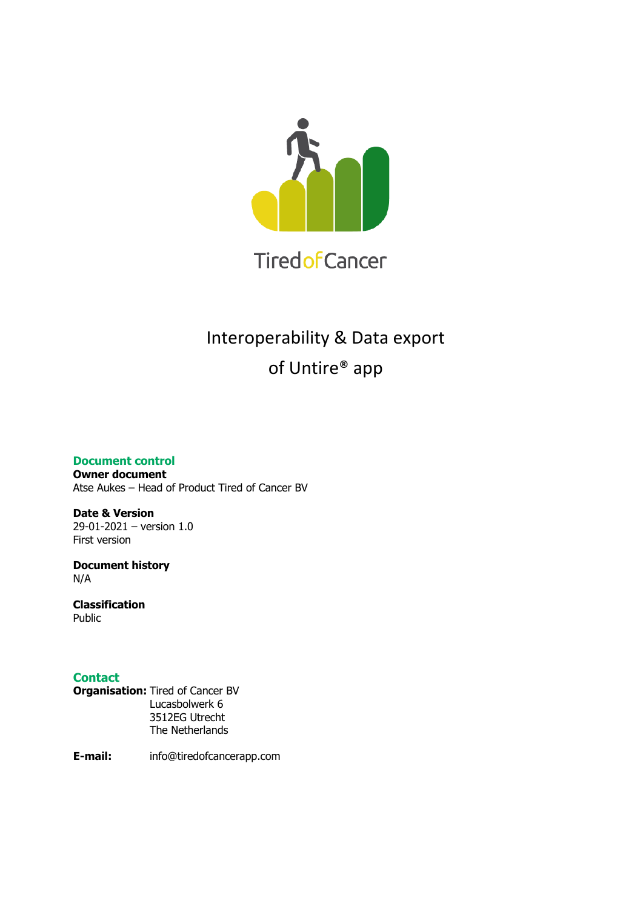

# Interoperability & Data export of Untire® app

**Document control**

**Owner document** Atse Aukes – Head of Product Tired of Cancer BV

**Date & Version** 29-01-2021 – version 1.0 First version

**Document history** N/A

**Classification** Public

# **Contact**

**Organisation:** Tired of Cancer BV Lucasbolwerk 6 3512EG Utrecht The Netherlands

**E-mail:** info@tiredofcancerapp.com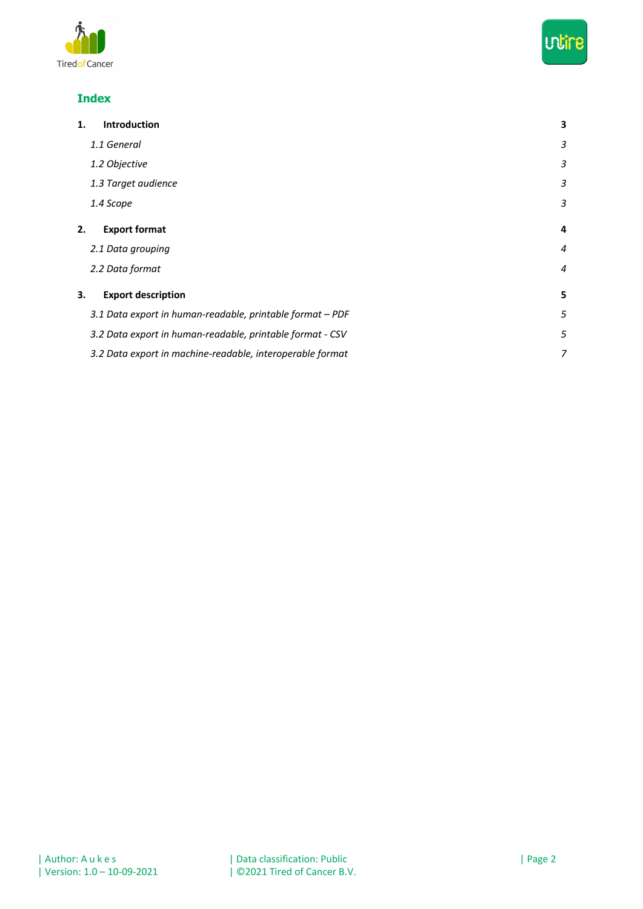



# **Index**

| 1. | Introduction                                              | 3              |
|----|-----------------------------------------------------------|----------------|
|    | 1.1 General                                               | 3              |
|    | 1.2 Objective                                             | 3              |
|    | 1.3 Target audience                                       | 3              |
|    | 1.4 Scope                                                 | 3              |
| 2. | <b>Export format</b>                                      | 4              |
|    | 2.1 Data grouping                                         | $\overline{4}$ |
|    | 2.2 Data format                                           | $\overline{4}$ |
| 3. | <b>Export description</b>                                 | 5              |
|    | 3.1 Data export in human-readable, printable format - PDF | 5              |
|    | 3.2 Data export in human-readable, printable format - CSV | 5              |
|    | 3.2 Data export in machine-readable, interoperable format | 7              |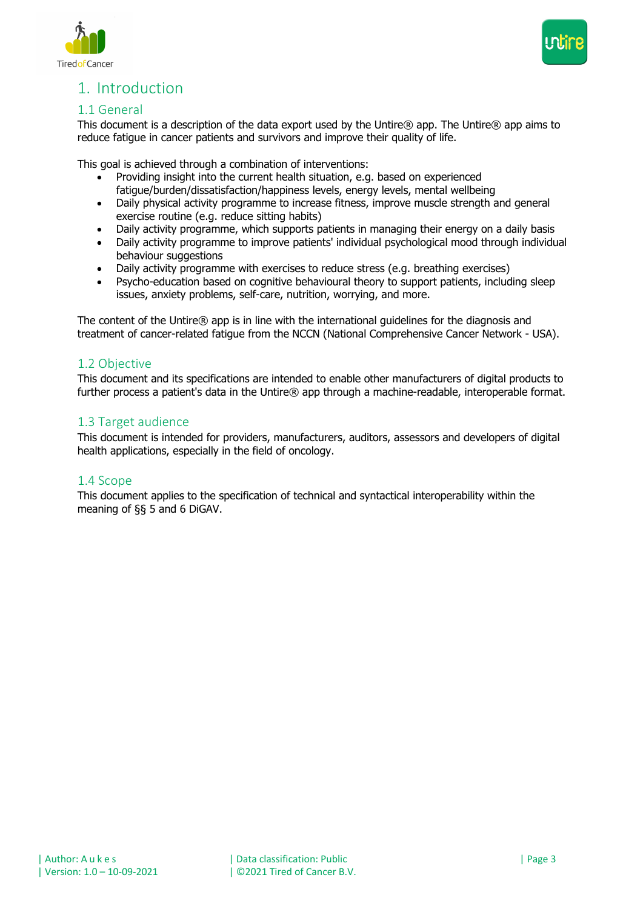



# 1. Introduction

### 1.1 General

This document is a description of the data export used by the Untire® app. The Untire® app aims to reduce fatigue in cancer patients and survivors and improve their quality of life.

This goal is achieved through a combination of interventions:

- Providing insight into the current health situation, e.g. based on experienced fatigue/burden/dissatisfaction/happiness levels, energy levels, mental wellbeing
- Daily physical activity programme to increase fitness, improve muscle strength and general exercise routine (e.g. reduce sitting habits)
- Daily activity programme, which supports patients in managing their energy on a daily basis
- Daily activity programme to improve patients' individual psychological mood through individual behaviour suggestions
- Daily activity programme with exercises to reduce stress (e.g. breathing exercises)
- Psycho-education based on cognitive behavioural theory to support patients, including sleep issues, anxiety problems, self-care, nutrition, worrying, and more.

The content of the Untire® app is in line with the international guidelines for the diagnosis and treatment of cancer-related fatigue from the NCCN (National Comprehensive Cancer Network - USA).

#### 1.2 Objective

This document and its specifications are intended to enable other manufacturers of digital products to further process a patient's data in the Untire® app through a machine-readable, interoperable format.

### 1.3 Target audience

This document is intended for providers, manufacturers, auditors, assessors and developers of digital health applications, especially in the field of oncology.

#### 1.4 Scope

This document applies to the specification of technical and syntactical interoperability within the meaning of §§ 5 and 6 DiGAV.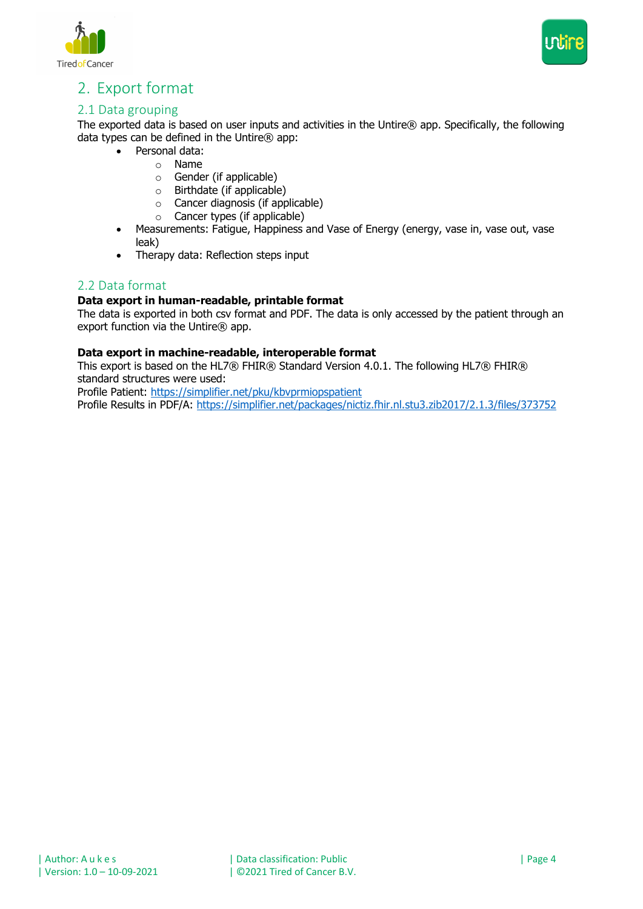



# 2. Export format

# 2.1 Data grouping

The exported data is based on user inputs and activities in the Untire® app. Specifically, the following data types can be defined in the Untire® app:

- Personal data:
	- o Name
		- o Gender (if applicable)
		- o Birthdate (if applicable)
		- o Cancer diagnosis (if applicable)
		- o Cancer types (if applicable)
- Measurements: Fatigue, Happiness and Vase of Energy (energy, vase in, vase out, vase leak)
- Therapy data: Reflection steps input

#### 2.2 Data format

#### **Data export in human-readable, printable format**

The data is exported in both csv format and PDF. The data is only accessed by the patient through an export function via the Untire $\circledR$  app.

#### **Data export in machine-readable, interoperable format**

This export is based on the HL7® FHIR® Standard Version 4.0.1. The following HL7® FHIR® standard structures were used:

Profile Patient: https://simplifier.net/pku/kbvprmiopspatient

Profile Results in PDF/A: https://simplifier.net/packages/nictiz.fhir.nl.stu3.zib2017/2.1.3/files/373752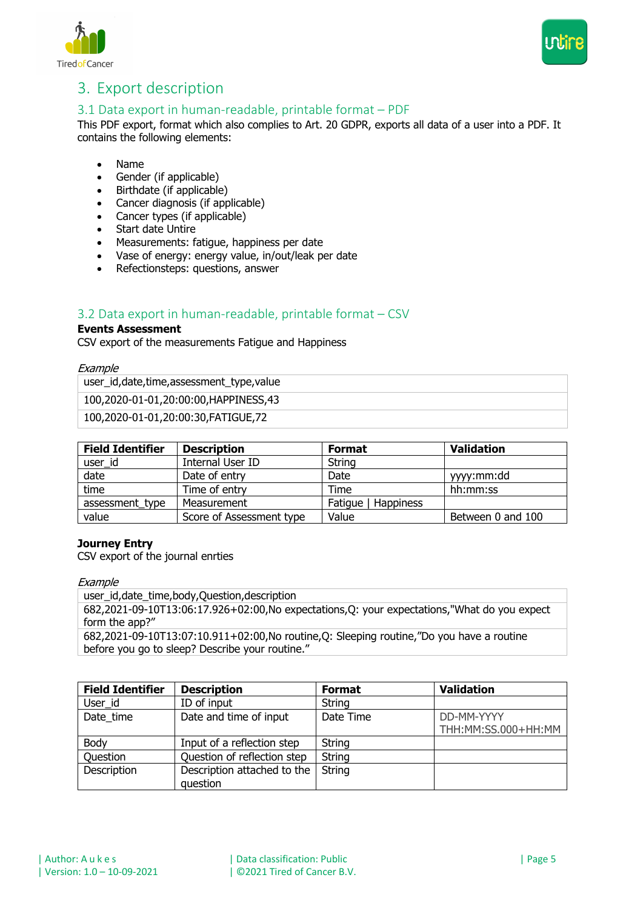



# 3. Export description

# 3.1 Data export in human-readable, printable format – PDF

This PDF export, format which also complies to Art. 20 GDPR, exports all data of a user into a PDF. It contains the following elements:

- Name
- Gender (if applicable)
- Birthdate (if applicable)
- Cancer diagnosis (if applicable)
- Cancer types (if applicable)
- Start date Untire
- Measurements: fatigue, happiness per date
- Vase of energy: energy value, in/out/leak per date
- Refectionsteps: questions, answer

# 3.2 Data export in human-readable, printable format – CSV

#### **Events Assessment**

CSV export of the measurements Fatigue and Happiness

**Example** 

user\_id,date,time,assessment\_type,value

100,2020-01-01,20:00:00,HAPPINESS,43

100,2020-01-01,20:00:30,FATIGUE,72

| <b>Field Identifier</b> | <b>Description</b>       | <b>Format</b>       | <b>Validation</b> |
|-------------------------|--------------------------|---------------------|-------------------|
| user_id                 | Internal User ID         | <b>String</b>       |                   |
| date                    | Date of entry            | Date                | yyy:mm:dd         |
| time                    | Time of entry            | Time                | hh:mm:ss          |
| assessment type         | Measurement              | Fatique   Happiness |                   |
| value                   | Score of Assessment type | Value               | Between 0 and 100 |

#### **Journey Entry**

CSV export of the journal enrties

#### **Example**

user\_id,date\_time,body,Question,description

682,2021-09-10T13:06:17.926+02:00,No expectations,Q: your expectations,"What do you expect form the app?"

682,2021-09-10T13:07:10.911+02:00,No routine,Q: Sleeping routine,"Do you have a routine before you go to sleep? Describe your routine."

| <b>Field Identifier</b> | <b>Description</b>          | <b>Format</b> | <b>Validation</b>   |
|-------------------------|-----------------------------|---------------|---------------------|
| User id                 | ID of input                 | String        |                     |
| Date time               | Date and time of input      | Date Time     | DD-MM-YYYY          |
|                         |                             |               | THH:MM:SS.000+HH:MM |
| Body                    | Input of a reflection step  | String        |                     |
| <b>Ouestion</b>         | Question of reflection step | String        |                     |
| Description             | Description attached to the | String        |                     |
|                         | question                    |               |                     |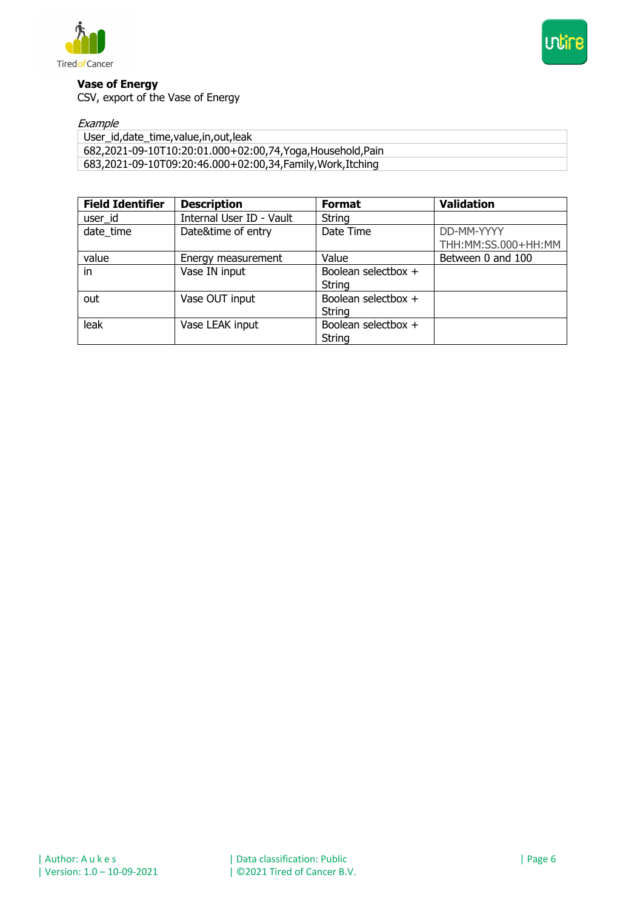



#### **Vase of Energy**

CSV, export of the Vase of Energy

#### Example

| User_id, date_time, value, in, out, leak                    |
|-------------------------------------------------------------|
| 682,2021-09-10T10:20:01.000+02:00,74, Yoga, Household, Pain |
| 683,2021-09-10T09:20:46.000+02:00,34,Family,Work,Itching    |

| <b>Field Identifier</b> | <b>Description</b>       | <b>Format</b>       | <b>Validation</b>      |
|-------------------------|--------------------------|---------------------|------------------------|
| user id                 | Internal User ID - Vault | String              |                        |
| date time               | Date&time of entry       | Date Time           | DD-MM-YYYY             |
|                         |                          |                     | THH: MM: SS.000+HH: MM |
| value                   | Energy measurement       | Value               | Between 0 and 100      |
| in                      | Vase IN input            | Boolean selectbox + |                        |
|                         |                          | String              |                        |
| out                     | Vase OUT input           | Boolean selectbox + |                        |
|                         |                          | String              |                        |
| leak                    | Vase LEAK input          | Boolean selectbox + |                        |
|                         |                          | String              |                        |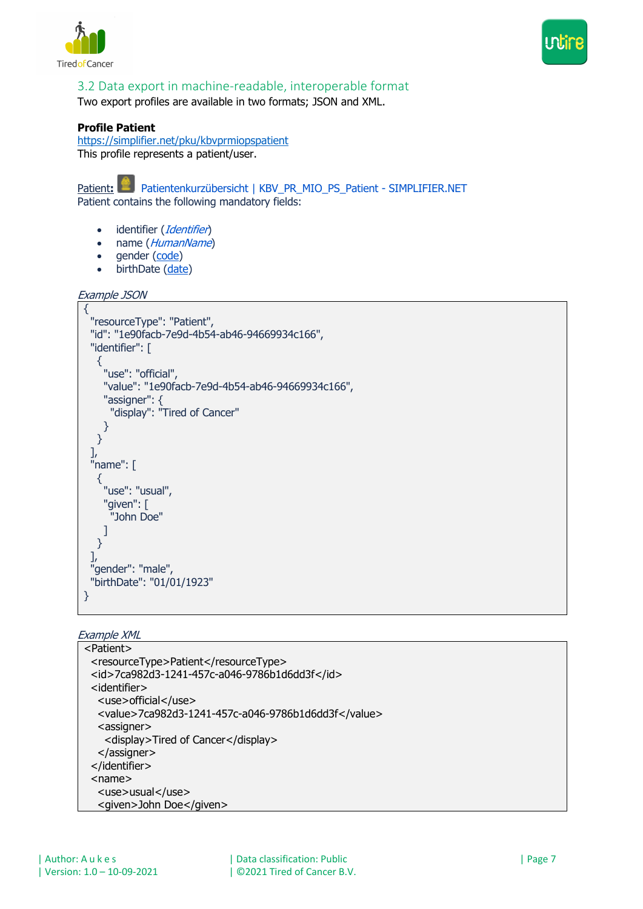



# 3.2 Data export in machine-readable, interoperable format

Two export profiles are available in two formats; JSON and XML.

#### **Profile Patient**

https://simplifier.net/pku/kbvprmiopspatient This profile represents a patient/user.

Patient: **Patientenkurzübersicht | KBV\_PR\_MIO\_PS\_Patient - SIMPLIFIER.NET** Patient contains the following mandatory fields:

- identifier (Identifier)
- name (HumanName)
- gender (code)
- birthDate (date)

```
Example JSON
```

```
{
  "resourceType": "Patient",
  "id": "1e90facb-7e9d-4b54-ab46-94669934c166",
  "identifier": [
    {
     "use": "official",
     "value": "1e90facb-7e9d-4b54-ab46-94669934c166",
     "assigner": {
       "display": "Tired of Cancer"
     }
   }
  ],
  "name": [
    {
     "use": "usual",
     "given": [
       "John Doe"
     ]
   }
  ],
  "gender": "male",
  "birthDate": "01/01/1923"
}
```
#### Example XML

```
<Patient>
  <resourceType>Patient</resourceType>
  <id>7ca982d3-1241-457c-a046-9786b1d6dd3f</id>
  <identifier>
   <use>official</use>
   <value>7ca982d3-1241-457c-a046-9786b1d6dd3f</value>
  <assigner>
    <display>Tired of Cancer</display>
   </assigner>
  </identifier>
  <name>
   <use>usual</use>
   <given>John Doe</given>
```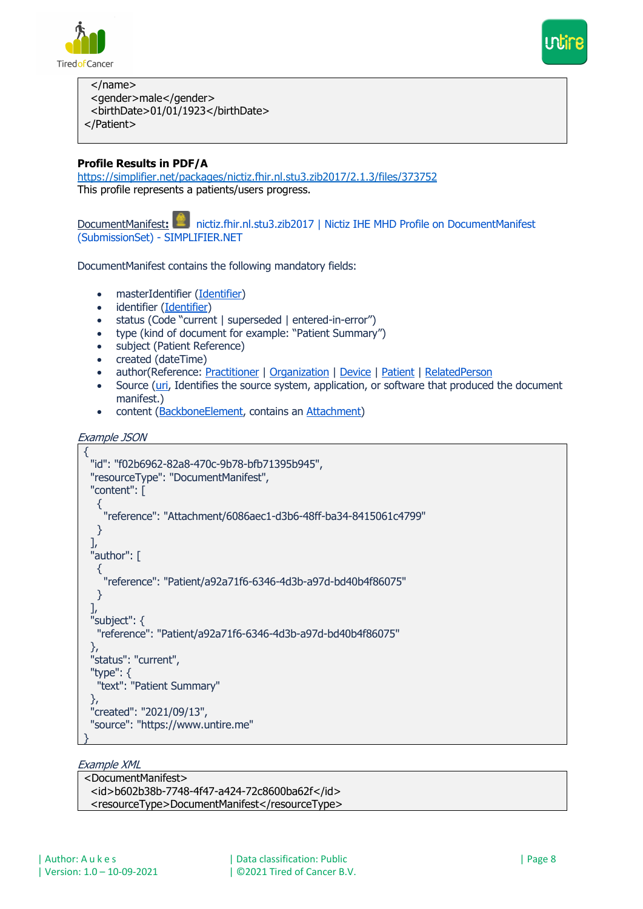



 </name> <gender>male</gender>

<birthDate>01/01/1923</birthDate>

</Patient>

# **Profile Results in PDF/A**

https://simplifier.net/packages/nictiz.fhir.nl.stu3.zib2017/2.1.3/files/373752 This profile represents a patients/users progress.

DocumentManifest: **22 nictiz.fhir.nl.stu3.zib2017** | Nictiz IHE MHD Profile on DocumentManifest (SubmissionSet) - SIMPLIFIER.NET

DocumentManifest contains the following mandatory fields:

- masterIdentifier (Identifier)
- identifier (Identifier)
- status (Code "current | superseded | entered-in-error")
- type (kind of document for example: "Patient Summary")
- subject (Patient Reference)
- created (dateTime)
- author(Reference: Practitioner | Organization | Device | Patient | RelatedPerson
- Source (uri, Identifies the source system, application, or software that produced the document manifest.)
- content (BackboneElement, contains an Attachment)

```
Example JSON
```

```
{
 "id": "f02b6962-82a8-470c-9b78-bfb71395b945",
  "resourceType": "DocumentManifest",
  "content": [
  \{ "reference": "Attachment/6086aec1-d3b6-48ff-ba34-8415061c4799"
   }
  ],
  "author": [
\{ "reference": "Patient/a92a71f6-6346-4d3b-a97d-bd40b4f86075"
   }
  ],
  "subject": {
   "reference": "Patient/a92a71f6-6346-4d3b-a97d-bd40b4f86075"
  },
  "status": "current",
  "type": {
   "text": "Patient Summary"
  },
  "created": "2021/09/13",
  "source": "https://www.untire.me"
}
```
#### Example XML

| <documentmanifest></documentmanifest>         |
|-----------------------------------------------|
| <id>b602b38b-7748-4f47-a424-72c8600ba62f</id> |
| <resourcetype>DocumentManifest</resourcetype> |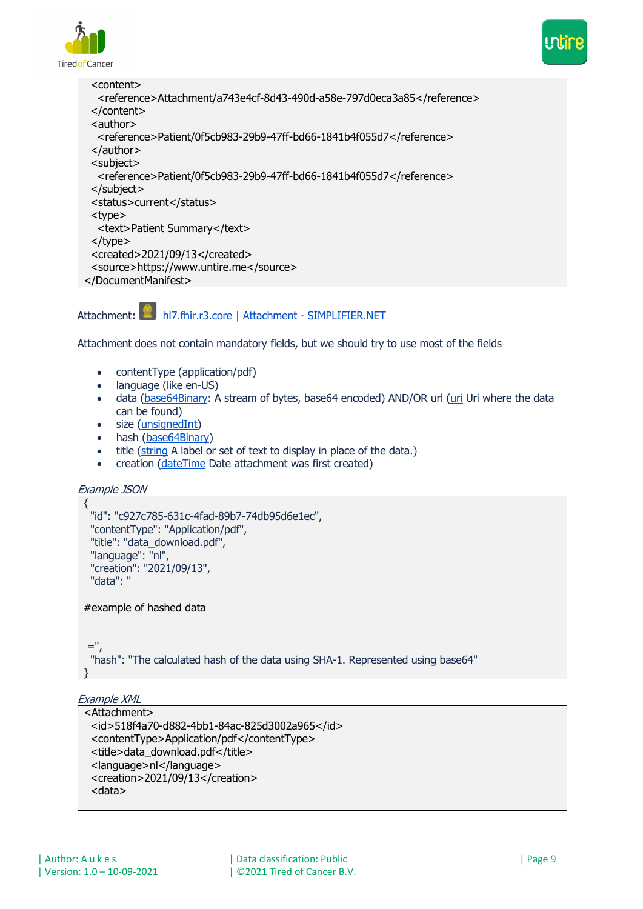



| <content></content>                                                    |
|------------------------------------------------------------------------|
| <reference>Attachment/a743e4cf-8d43-490d-a58e-797d0eca3a85</reference> |
| $<$ /content>                                                          |
| $\alpha$ <author< td=""></author<>                                     |
| <reference>Patient/0f5cb983-29b9-47ff-bd66-1841b4f055d7</reference>    |
| $<$ /author>                                                           |
| <subject></subject>                                                    |
| <reference>Patient/0f5cb983-29b9-47ff-bd66-1841b4f055d7</reference>    |
| $<$ /subject>                                                          |
| <status>current</status>                                               |
| <type></type>                                                          |
| <text>Patient Summary</text>                                           |
| $<$ /type $>$                                                          |
| <created>2021/09/13</created>                                          |
| <source/> https://www.untire.me                                        |
|                                                                        |

### Attachment**:** hl7.fhir.r3.core | Attachment - SIMPLIFIER.NET

Attachment does not contain mandatory fields, but we should try to use most of the fields

- contentType (application/pdf)
- language (like en-US)
- data (base64Binary: A stream of bytes, base64 encoded) AND/OR url (uri Uri where the data can be found)
- size (unsignedInt)
- hash (base64Binary)
- title (string A label or set of text to display in place of the data.)
- creation (dateTime Date attachment was first created)

```
Example JSON
```

```
{
  "id": "c927c785-631c-4fad-89b7-74db95d6e1ec",
  "contentType": "Application/pdf",
  "title": "data_download.pdf",
  "language": "nl",
  "creation": "2021/09/13",
  "data": "
#example of hashed data
=",
  "hash": "The calculated hash of the data using SHA-1. Represented using base64"
}
```
Example XML

```
<Attachment>
  <id>518f4a70-d882-4bb1-84ac-825d3002a965</id>
  <contentType>Application/pdf</contentType>
 <title>data_download.pdf</title>
  <language>nl</language>
  <creation>2021/09/13</creation>
  <data>
```